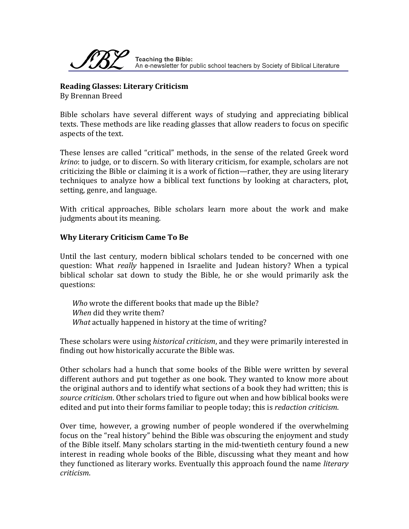

**Reading Glasses: Literary Criticism** By Brennan Breed

Bible scholars have several different ways of studying and appreciating biblical texts. These methods are like reading glasses that allow readers to focus on specific aspects of the text.

These lenses are called "critical" methods, in the sense of the related Greek word *krino*: to judge, or to discern. So with literary criticism, for example, scholars are not criticizing the Bible or claiming it is a work of fiction—rather, they are using literary techniques to analyze how a biblical text functions by looking at characters, plot, setting, genre, and language.

With critical approaches, Bible scholars learn more about the work and make judgments about its meaning.

## **Why Literary Criticism Came To Be**

Until the last century, modern biblical scholars tended to be concerned with one question: What *really* happened in Israelite and Judean history? When a typical biblical scholar sat down to study the Bible, he or she would primarily ask the questions:

*Who* wrote the different books that made up the Bible? *When* did they write them? *What* actually happened in history at the time of writing?

These scholars were using *historical criticism*, and they were primarily interested in finding out how historically accurate the Bible was.

Other scholars had a hunch that some books of the Bible were written by several different authors and put together as one book. They wanted to know more about the original authors and to identify what sections of a book they had written; this is *source criticism*. Other scholars tried to figure out when and how biblical books were edited and put into their forms familiar to people today; this is *redaction criticism*.

Over time, however, a growing number of people wondered if the overwhelming focus on the "real history" behind the Bible was obscuring the enjoyment and study of the Bible itself. Many scholars starting in the mid‐twentieth century found a new interest in reading whole books of the Bible, discussing what they meant and how they functioned as literary works. Eventually this approach found the name *literary criticism*.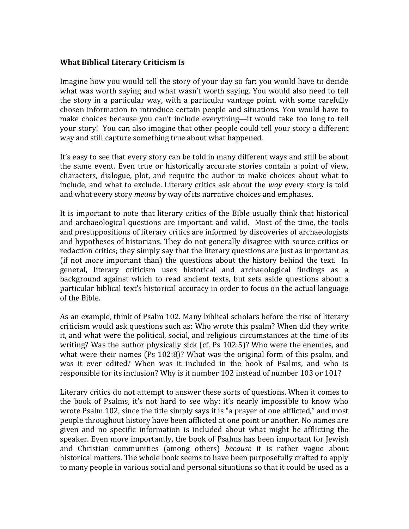## **What Biblical Literary Criticism Is**

Imagine how you would tell the story of your day so far: you would have to decide what was worth saying and what wasn't worth saying. You would also need to tell the story in a particular way, with a particular vantage point, with some carefully chosen information to introduce certain people and situations. You would have to make choices because you can't include everything—it would take too long to tell your story! You can also imagine that other people could tell your story a different way and still capture something true about what happened.

It's easy to see that every story can be told in many different ways and still be about the same event. Even true or historically accurate stories contain a point of view, characters, dialogue, plot, and require the author to make choices about what to include, and what to exclude. Literary critics ask about the *way* every story is told and what every story *means* by way of its narrative choices and emphases.

It is important to note that literary critics of the Bible usually think that historical and archaeological questions are important and valid. Most of the time, the tools and presuppositions of literary critics are informed by discoveries of archaeologists and hypotheses of historians. They do not generally disagree with source critics or redaction critics; they simply say that the literary questions are just as important as (if not more important than) the questions about the history behind the text. In general, literary criticism uses historical and archaeological findings as a background against which to read ancient texts, but sets aside questions about a particular biblical text's historical accuracy in order to focus on the actual language of the Bible.

As an example, think of Psalm 102. Many biblical scholars before the rise of literary criticism would ask questions such as: Who wrote this psalm? When did they write it, and what were the political, social, and religious circumstances at the time of its writing? Was the author physically sick (cf. Ps 102:5)? Who were the enemies, and what were their names (Ps 102:8)? What was the original form of this psalm, and was it ever edited? When was it included in the book of Psalms, and who is responsible for its inclusion? Why is it number 102 instead of number 103 or 101?

Literary critics do not attempt to answer these sorts of questions. When it comes to the book of Psalms, it's not hard to see why: it's nearly impossible to know who wrote Psalm 102, since the title simply says it is "a prayer of one afflicted," and most people throughout history have been afflicted at one point or another. No names are given and no specific information is included about what might be afflicting the speaker. Even more importantly, the book of Psalms has been important for Jewish and Christian communities (among others) *because* it is rather vague about historical matters. The whole book seems to have been purposefully crafted to apply to many people in various social and personal situations so that it could be used as a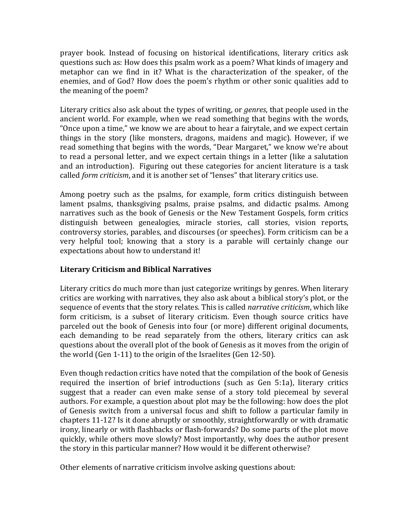prayer book. Instead of focusing on historical identifications, literary critics ask questions such as: How does this psalm work as a poem? What kinds of imagery and metaphor can we find in it? What is the characterization of the speaker, of the enemies, and of God? How does the poem's rhythm or other sonic qualities add to the meaning of the poem?

Literary critics also ask about the types of writing, or *genres*, that people used in the ancient world. For example, when we read something that begins with the words, "Once upon a time," we know we are about to hear a fairytale, and we expect certain things in the story (like monsters, dragons, maidens and magic). However, if we read something that begins with the words, "Dear Margaret," we know we're about to read a personal letter, and we expect certain things in a letter (like a salutation and an introduction). Figuring out these categories for ancient literature is a task called *form criticism*, and it is another set of "lenses" that literary critics use.

Among poetry such as the psalms, for example, form critics distinguish between lament psalms, thanksgiving psalms, praise psalms, and didactic psalms. Among narratives such as the book of Genesis or the New Testament Gospels, form critics distinguish between genealogies, miracle stories, call stories, vision reports, controversy stories, parables, and discourses (or speeches). Form criticism can be a very helpful tool; knowing that a story is a parable will certainly change our expectations about how to understand it!

## **Literary Criticism and Biblical Narratives**

Literary critics do much more than just categorize writings by genres. When literary critics are working with narratives, they also ask about a biblical story's plot, or the sequence of events that the story relates. This is called *narrative criticism*, which like form criticism, is a subset of literary criticism. Even though source critics have parceled out the book of Genesis into four (or more) different original documents, each demanding to be read separately from the others, literary critics can ask questions about the overall plot of the book of Genesis as it moves from the origin of the world (Gen 1‐11) to the origin of the Israelites (Gen 12‐50).

Even though redaction critics have noted that the compilation of the book of Genesis required the insertion of brief introductions (such as Gen 5:1a), literary critics suggest that a reader can even make sense of a story told piecemeal by several authors. For example, a question about plot may be the following: how does the plot of Genesis switch from a universal focus and shift to follow a particular family in chapters 11‐12? Is it done abruptly or smoothly, straightforwardly or with dramatic irony, linearly or with flashbacks or flash‐forwards? Do some parts of the plot move quickly, while others move slowly? Most importantly, why does the author present the story in this particular manner? How would it be different otherwise?

Other elements of narrative criticism involve asking questions about: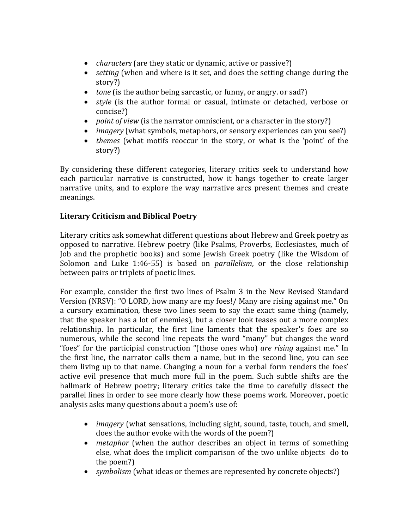- *characters* (are they static or dynamic, active or passive?)
- *setting* (when and where is it set, and does the setting change during the story?)
- *tone* (is the author being sarcastic, or funny, or angry. or sad?)
- *style* (is the author formal or casual, intimate or detached, verbose or concise?)
- *point of view* (is the narrator omniscient, or a character in the story?)
- *imagery* (what symbols, metaphors, or sensory experiences can you see?)
- *themes* (what motifs reoccur in the story, or what is the 'point' of the story?)

By considering these different categories, literary critics seek to understand how each particular narrative is constructed, how it hangs together to create larger narrative units, and to explore the way narrative arcs present themes and create meanings.

## **Literary Criticism and Biblical Poetry**

Literary critics ask somewhat different questions about Hebrew and Greek poetry as opposed to narrative. Hebrew poetry (like Psalms, Proverbs, Ecclesiastes, much of Job and the prophetic books) and some Jewish Greek poetry (like the Wisdom of Solomon and Luke 1:46‐55) is based on *parallelism*, or the close relationship between pairs or triplets of poetic lines.

For example, consider the first two lines of Psalm 3 in the New Revised Standard Version (NRSV): "O LORD, how many are my foes!/ Many are rising against me." On a cursory examination, these two lines seem to say the exact same thing (namely, that the speaker has a lot of enemies), but a closer look teases out a more complex relationship. In particular, the first line laments that the speaker's foes are so numerous, while the second line repeats the word "many" but changes the word "foes" for the participial construction "(those ones who) *are rising* against me." In the first line, the narrator calls them a name, but in the second line, you can see them living up to that name. Changing a noun for a verbal form renders the foes' active evil presence that much more full in the poem. Such subtle shifts are the hallmark of Hebrew poetry; literary critics take the time to carefully dissect the parallel lines in order to see more clearly how these poems work. Moreover, poetic analysis asks many questions about a poem's use of:

- *imagery* (what sensations, including sight, sound, taste, touch, and smell, does the author evoke with the words of the poem?)
- *metaphor* (when the author describes an object in terms of something else, what does the implicit comparison of the two unlike objects do to the poem?)
- *symbolism* (what ideas or themes are represented by concrete objects?)